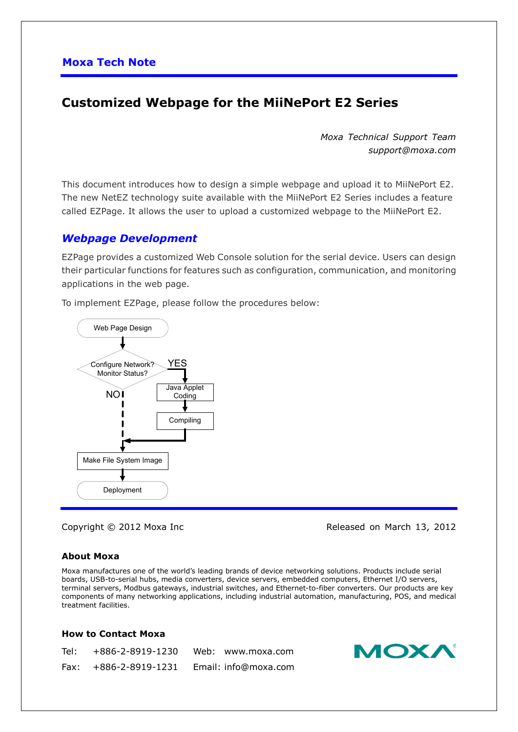# **Customized Webpage for the MiiNePort E2 Series**

*Moxa Technical Support Team support@moxa.com*

This document introduces how to design a simple webpage and upload it to MiiNePort E2. The new NetEZ technology suite available with the MiiNePort E2 Series includes a feature called EZPage. It allows the user to upload a customized webpage to the MiiNePort E2.

### *Webpage Development*

EZPage provides a customized Web Console solution for the serial device. Users can design their particular functions for features such as configuration, communication, and monitoring applications in the web page.

To implement EZPage, please follow the procedures below:



Copyright © 2012 Moxa Inc **Released on March 13, 2012** 

#### **About Moxa**

Moxa manufactures one of the world's leading brands of device networking solutions. Products include serial boards, USB-to-serial hubs, media converters, device servers, embedded computers, Ethernet I/O servers, terminal servers, Modbus gateways, industrial switches, and Ethernet-to-fiber converters. Our products are key components of many networking applications, including industrial automation, manufacturing, POS, and medical treatment facilities.

#### **How to Contact Moxa**

| Tel: Tel | +886-2-8919-1230        | Web: www.moxa.com    |
|----------|-------------------------|----------------------|
|          | $Fax: +886-2-8919-1231$ | Email: info@moxa.com |

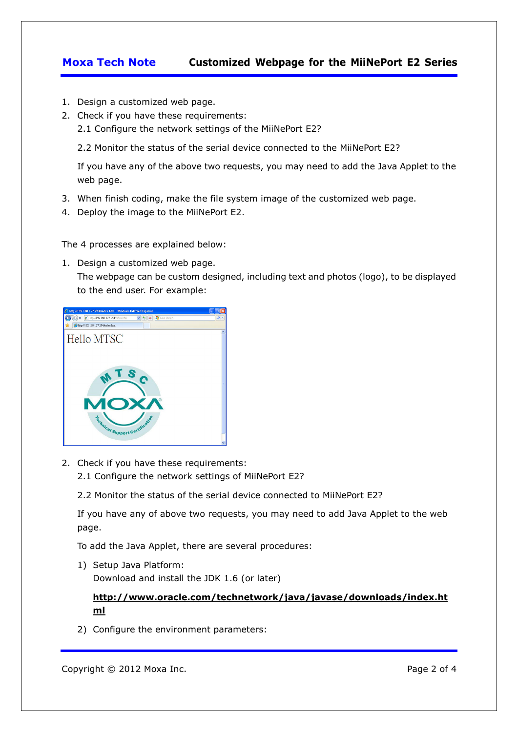## **Moxa Tech Note Customized Webpage for the MiiNePort E2 Series**

- 1. Design a customized web page.
- 2. Check if you have these requirements:
	- 2.1 Configure the network settings of the MiiNePort E2?
	- 2.2 Monitor the status of the serial device connected to the MiiNePort E2?

If you have any of the above two requests, you may need to add the Java Applet to the web page.

- 3. When finish coding, make the file system image of the customized web page.
- 4. Deploy the image to the MiiNePort E2.

The 4 processes are explained below:

1. Design a customized web page.

The webpage can be custom designed, including text and photos (logo), to be displayed to the end user. For example:



- 2. Check if you have these requirements:
	- 2.1 Configure the network settings of MiiNePort E2?
	- 2.2 Monitor the status of the serial device connected to MiiNePort E2?

If you have any of above two requests, you may need to add Java Applet to the web page.

To add the Java Applet, there are several procedures:

1) Setup Java Platform: Download and install the JDK 1.6 (or later)

### **http://www.oracle.com/technetwork/java/javase/downloads/index.ht ml**

2) Configure the environment parameters: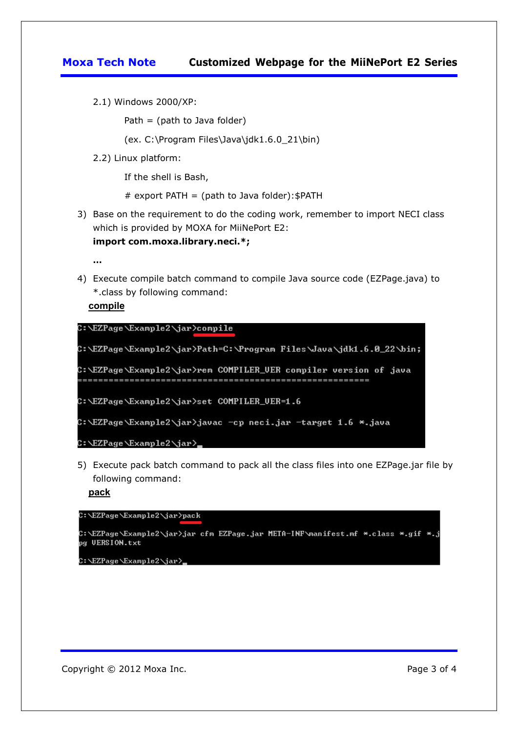## **Moxa Tech Note Customized Webpage for the MiiNePort E2 Series**

2.1) Windows 2000/XP:

Path  $=$  (path to Java folder)

(ex. C:\Program Files\Java\jdk1.6.0\_21\bin)

2.2) Linux platform:

If the shell is Bash,

# export PATH = (path to Java folder):  $$$ PATH

3) Base on the requirement to do the coding work, remember to import NECI class which is provided by MOXA for MiiNePort E2: **import com.moxa.library.neci.\*;**

**…**

4) Execute compile batch command to compile Java source code (EZPage.java) to \*.class by following command:

**compile**



5) Execute pack batch command to pack all the class files into one EZPage.jar file by following command:

**pack**



C:\EZPage\Example2\jar>\_

Copyright © 2012 Moxa Inc. **Page 3 of 4** Copyright © 2012 Moxa Inc.